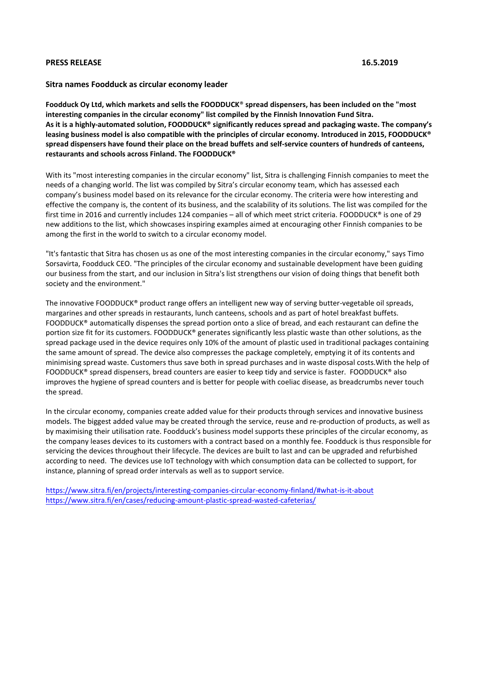## **PRESS RELEASE 16.5.2019**

## **Sitra names Foodduck as circular economy leader**

**Foodduck Oy Ltd, which markets and sells the FOODDUCK**® **spread dispensers, has been included on the "most interesting companies in the circular economy" list compiled by the Finnish Innovation Fund Sitra. As it is a highly-automated solution, FOODDUCK® significantly reduces spread and packaging waste. The company's leasing business model is also compatible with the principles of circular economy. Introduced in 2015, FOODDUCK® spread dispensers have found their place on the bread buffets and self-service counters of hundreds of canteens, restaurants and schools across Finland. The FOODDUCK®** 

With its "most interesting companies in the circular economy" list, Sitra is challenging Finnish companies to meet the needs of a changing world. The list was compiled by Sitra's circular economy team, which has assessed each company's business model based on its relevance for the circular economy. The criteria were how interesting and effective the company is, the content of its business, and the scalability of its solutions. The list was compiled for the first time in 2016 and currently includes 124 companies – all of which meet strict criteria. FOODDUCK® is one of 29 new additions to the list, which showcases inspiring examples aimed at encouraging other Finnish companies to be among the first in the world to switch to a circular economy model.

"It's fantastic that Sitra has chosen us as one of the most interesting companies in the circular economy," says Timo Sorsavirta, Foodduck CEO. "The principles of the circular economy and sustainable development have been guiding our business from the start, and our inclusion in Sitra's list strengthens our vision of doing things that benefit both society and the environment."

The innovative FOODDUCK® product range offers an intelligent new way of serving butter-vegetable oil spreads, margarines and other spreads in restaurants, lunch canteens, schools and as part of hotel breakfast buffets. FOODDUCK® automatically dispenses the spread portion onto a slice of bread, and each restaurant can define the portion size fit for its customers. FOODDUCK® generates significantly less plastic waste than other solutions, as the spread package used in the device requires only 10% of the amount of plastic used in traditional packages containing the same amount of spread. The device also compresses the package completely, emptying it of its contents and minimising spread waste. Customers thus save both in spread purchases and in waste disposal costs.With the help of FOODDUCK® spread dispensers, bread counters are easier to keep tidy and service is faster. FOODDUCK® also improves the hygiene of spread counters and is better for people with coeliac disease, as breadcrumbs never touch the spread.

In the circular economy, companies create added value for their products through services and innovative business models. The biggest added value may be created through the service, reuse and re-production of products, as well as by maximising their utilisation rate. Foodduck's business model supports these principles of the circular economy, as the company leases devices to its customers with a contract based on a monthly fee. Foodduck is thus responsible for servicing the devices throughout their lifecycle. The devices are built to last and can be upgraded and refurbished according to need. The devices use IoT technology with which consumption data can be collected to support, for instance, planning of spread order intervals as well as to support service.

<https://www.sitra.fi/en/projects/interesting-companies-circular-economy-finland/#what-is-it-about> <https://www.sitra.fi/en/cases/reducing-amount-plastic-spread-wasted-cafeterias/>